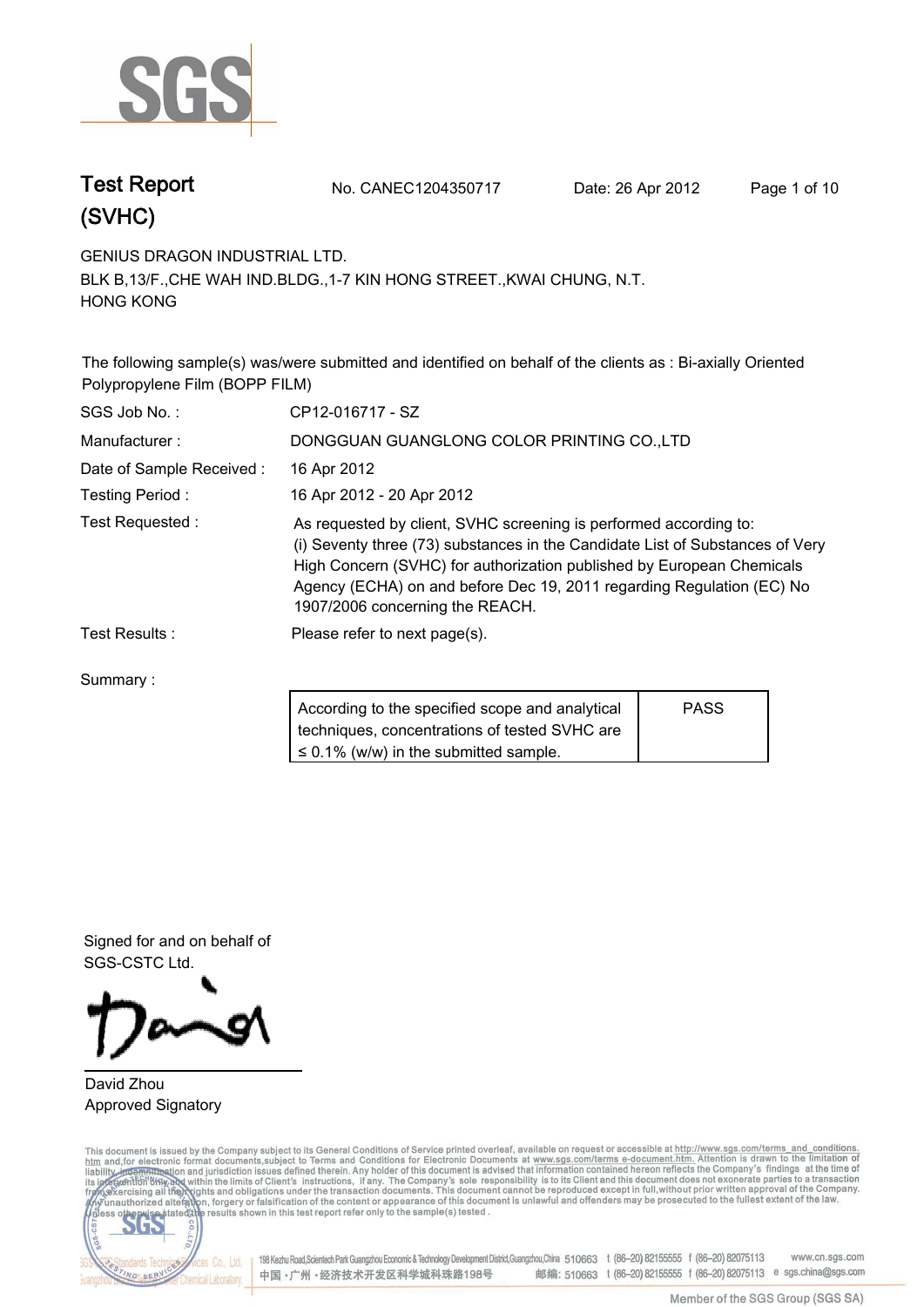

**Test Report. No. CANEC1204350717 Date: 26 Apr 2012. Page 1 of 10.**

**GENIUS DRAGON INDUSTRIAL LTD..**

**BLK B,13/F.,CHE WAH IND.BLDG.,1-7 KIN HONG STREET.,KWAI CHUNG, N.T. HONG KONG.**

**The following sample(s) was/were submitted and identified on behalf of the clients as : Bi-axially Oriented Polypropylene Film (BOPP FILM).**

| SGS Job No.:             | CP12-016717 - SZ                                                                                                                                                                                                                                                                                                                        |             |  |
|--------------------------|-----------------------------------------------------------------------------------------------------------------------------------------------------------------------------------------------------------------------------------------------------------------------------------------------------------------------------------------|-------------|--|
| Manufacturer:            | DONGGUAN GUANGLONG COLOR PRINTING CO., LTD                                                                                                                                                                                                                                                                                              |             |  |
| Date of Sample Received: | 16 Apr 2012                                                                                                                                                                                                                                                                                                                             |             |  |
| Testing Period:          | 16 Apr 2012 - 20 Apr 2012                                                                                                                                                                                                                                                                                                               |             |  |
| Test Requested:          | As requested by client, SVHC screening is performed according to:<br>(i) Seventy three (73) substances in the Candidate List of Substances of Very<br>High Concern (SVHC) for authorization published by European Chemicals<br>Agency (ECHA) on and before Dec 19, 2011 regarding Regulation (EC) No<br>1907/2006 concerning the REACH. |             |  |
| Test Results:            | Please refer to next page(s).                                                                                                                                                                                                                                                                                                           |             |  |
| Summary:                 |                                                                                                                                                                                                                                                                                                                                         |             |  |
|                          | According to the specified scope and analytical<br>techniques, concentrations of tested SVHC are                                                                                                                                                                                                                                        | <b>PASS</b> |  |

**≤ 0.1% (w/w) in the submitted sample.**

**Signed for and on behalf of SGS-CSTC Ltd..**

### **David Zhou. Approved Signatory.**

This document is issued by the Company subject to its General Conditions of Service printed overleaf, available on request or accessible at http://www.sgs.com/terms\_and\_conditions.<br>htm\_and, for electronic format documents,



198 Kezhu Road,Scientech Park Guangzhou Economic & Technology Development District,Guangzhou,China 510663 t (86-20) 82155555 f (86-20) 82075113 www.cn.sgs.com 邮编: 510663 t (86-20) 82155555 f (86-20) 82075113 e sgs.china@sgs.com 中国·广州·经济技术开发区科学城科珠路198号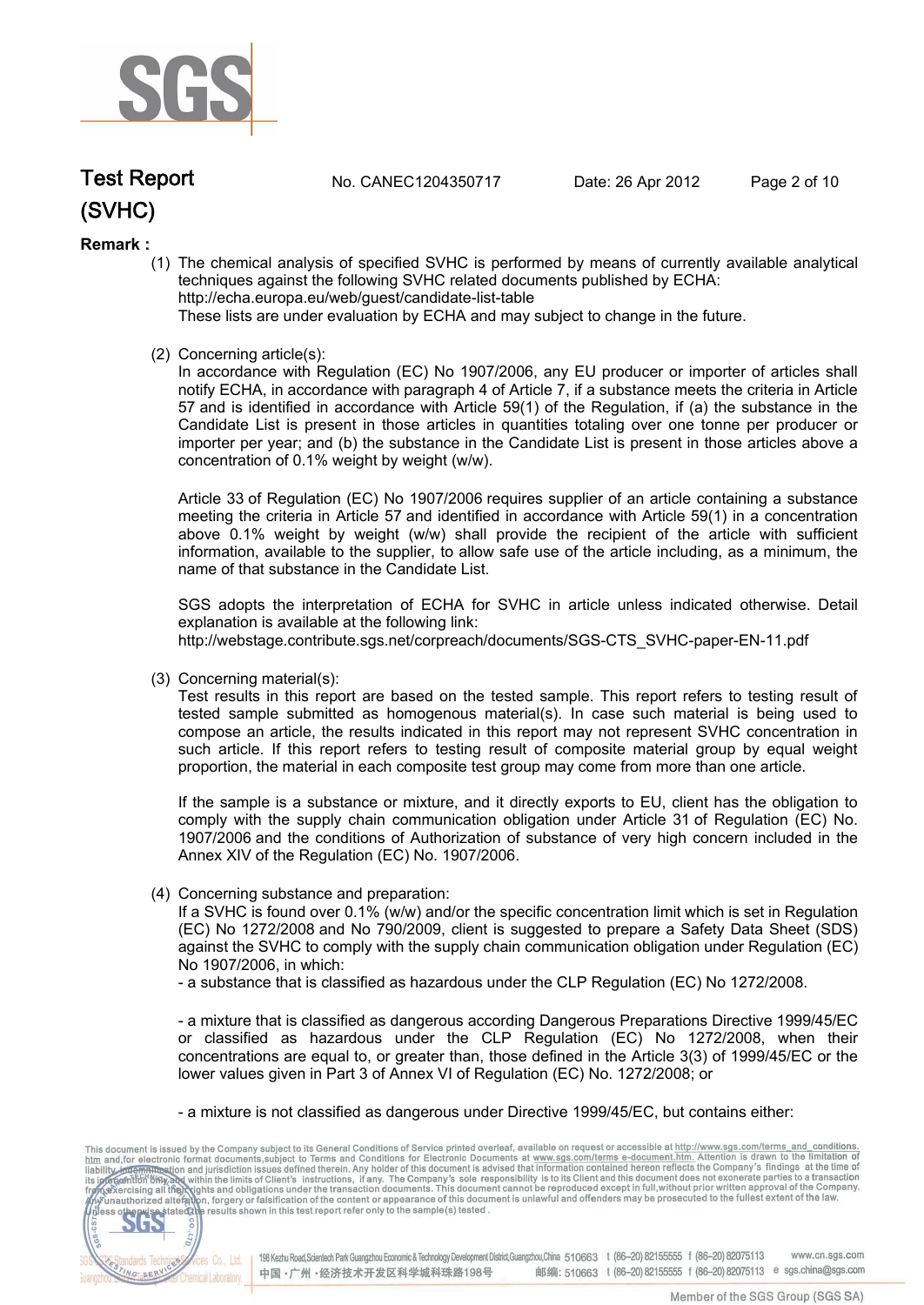

**Test Report. No. CANEC1204350717 Date: 26 Apr 2012. Page 2 of 10.**

### **Remark :**

(1) The chemical analysis of specified SVHC is performed by means of currently available analytical techniques against the following SVHC related documents published by ECHA: http://echa.europa.eu/web/guest/candidate-list-table

These lists are under evaluation by ECHA and may subject to change in the future.

(2) Concerning article(s):

In accordance with Regulation (EC) No 1907/2006, any EU producer or importer of articles shall notify ECHA, in accordance with paragraph 4 of Article 7, if a substance meets the criteria in Article 57 and is identified in accordance with Article 59(1) of the Regulation, if (a) the substance in the Candidate List is present in those articles in quantities totaling over one tonne per producer or importer per year; and (b) the substance in the Candidate List is present in those articles above a concentration of 0.1% weight by weight (w/w).

Article 33 of Regulation (EC) No 1907/2006 requires supplier of an article containing a substance meeting the criteria in Article 57 and identified in accordance with Article 59(1) in a concentration above 0.1% weight by weight (w/w) shall provide the recipient of the article with sufficient information, available to the supplier, to allow safe use of the article including, as a minimum, the name of that substance in the Candidate List.

SGS adopts the interpretation of ECHA for SVHC in article unless indicated otherwise. Detail explanation is available at the following link: http://webstage.contribute.sgs.net/corpreach/documents/SGS-CTS\_SVHC-paper-EN-11.pdf

(3) Concerning material(s):

Test results in this report are based on the tested sample. This report refers to testing result of tested sample submitted as homogenous material(s). In case such material is being used to compose an article, the results indicated in this report may not represent SVHC concentration in such article. If this report refers to testing result of composite material group by equal weight proportion, the material in each composite test group may come from more than one article.

If the sample is a substance or mixture, and it directly exports to EU, client has the obligation to comply with the supply chain communication obligation under Article 31 of Regulation (EC) No. 1907/2006 and the conditions of Authorization of substance of very high concern included in the Annex XIV of the Regulation (EC) No. 1907/2006.

(4) Concerning substance and preparation:

If a SVHC is found over 0.1% (w/w) and/or the specific concentration limit which is set in Regulation (EC) No 1272/2008 and No 790/2009, client is suggested to prepare a Safety Data Sheet (SDS) against the SVHC to comply with the supply chain communication obligation under Regulation (EC) No 1907/2006, in which:

- a substance that is classified as hazardous under the CLP Regulation (EC) No 1272/2008.

- a mixture that is classified as dangerous according Dangerous Preparations Directive 1999/45/EC or classified as hazardous under the CLP Regulation (EC) No 1272/2008, when their concentrations are equal to, or greater than, those defined in the Article 3(3) of 1999/45/EC or the lower values given in Part 3 of Annex VI of Regulation (EC) No. 1272/2008; or

- a mixture is not classified as dangerous under Directive 1999/45/EC, but contains either:

This document is issued by the Company subject to its General Conditions of Service printed overleaf, available on request or accessible at http://www.sgs.com/terms\_and\_conditions.<br>
htm and for electronic format documents, CO.LTD. 565 198 Kezhu Road, Scientech Park Guangzhou Economic & Technology Development District, Guangzhou, China 510663 t (86-20) 82155555 f (86-20) 82075113 **Co., Ltd.** www.cn.sas.com dards Tech 邮编: 510663 t (86-20) 82155555 f (86-20) 82075113 e sgs.china@sgs.com 中国·广州·经济技术开发区科学城科珠路198号 NG SERY Chemical Laboratory.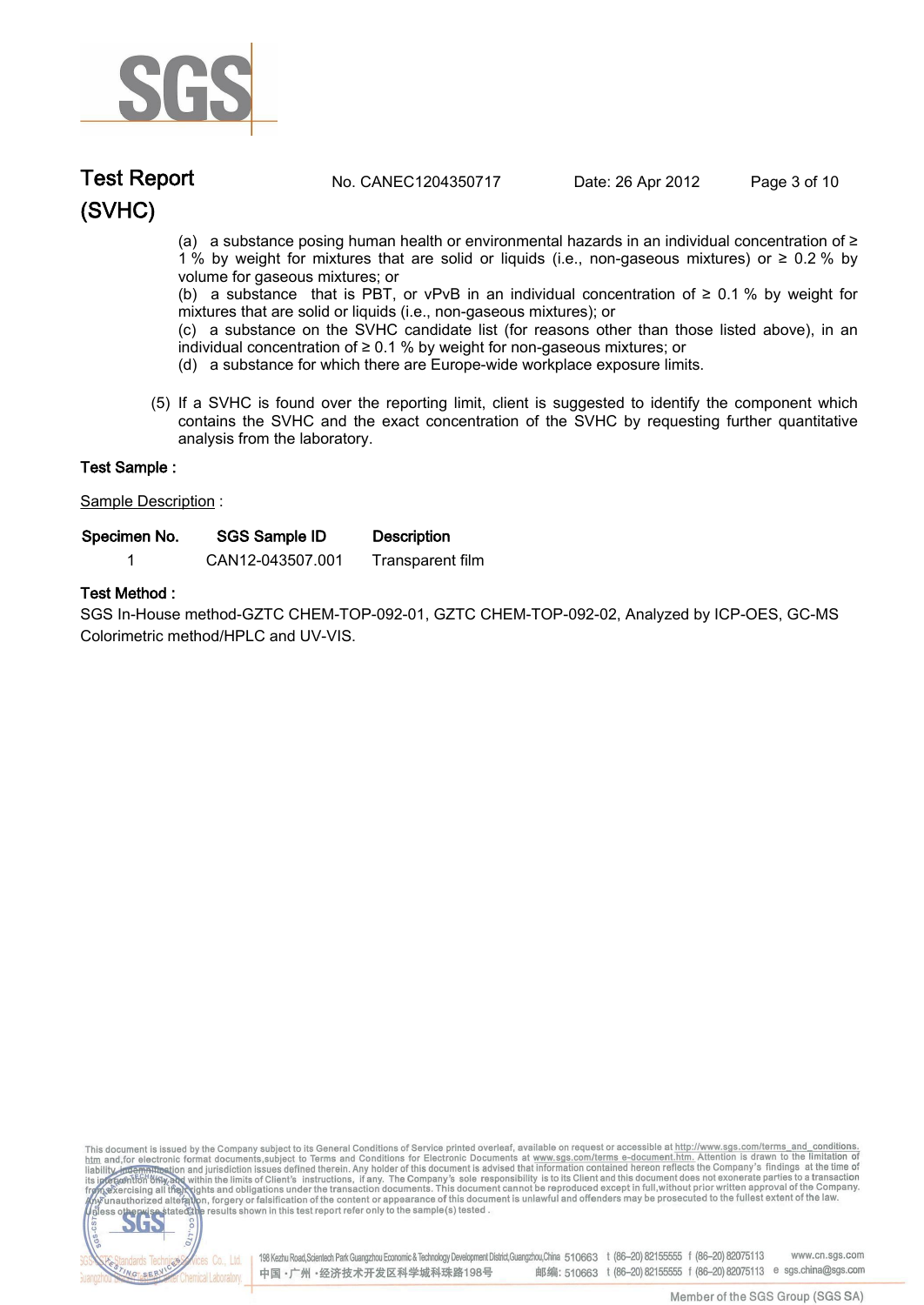

### **(SVHC) Test Report. No. CANEC1204350717 Date: 26 Apr 2012. Page 3 of 10.**

(a) a substance posing human health or environmental hazards in an individual concentration of ≥ 1 % by weight for mixtures that are solid or liquids (i.e., non-gaseous mixtures) or ≥ 0.2 % by volume for gaseous mixtures; or

(b) a substance that is PBT, or vPvB in an individual concentration of  $\geq 0.1$  % by weight for mixtures that are solid or liquids (i.e., non-gaseous mixtures); or

(c) a substance on the SVHC candidate list (for reasons other than those listed above), in an individual concentration of ≥ 0.1 % by weight for non-gaseous mixtures; or

- (d) a substance for which there are Europe-wide workplace exposure limits.
- (5) If a SVHC is found over the reporting limit, client is suggested to identify the component which contains the SVHC and the exact concentration of the SVHC by requesting further quantitative analysis from the laboratory.

| Test Sample :        |                      |                    |  |
|----------------------|----------------------|--------------------|--|
| Sample Description : |                      |                    |  |
| Specimen No.         | <b>SGS Sample ID</b> | <b>Description</b> |  |
|                      | CAN12-043507.001     | Transparent film   |  |

### **Test Method :.**

**SGS In-House method-GZTC CHEM-TOP-092-01, GZTC CHEM-TOP-092-02, Analyzed by ICP-OES, GC-MS Colorimetric method/HPLC and UV-VIS..**

This document is issued by the Company subject to its General Conditions of Service printed overleaf, available on request or accessible at http://www.sgs.com/terms\_and\_conditions.<br>htm\_and, for electronic format documents,



198 Kezhu Road,Scientech Park Guangzhou Economic & Technology Development District,Guangzhou,China 510663 t (86-20) 82155555 f (86-20) 82075113 www.cn.sgs.com 邮编: 510663 t (86-20) 82155555 f (86-20) 82075113 e sgs.china@sgs.com 中国·广州·经济技术开发区科学城科珠路198号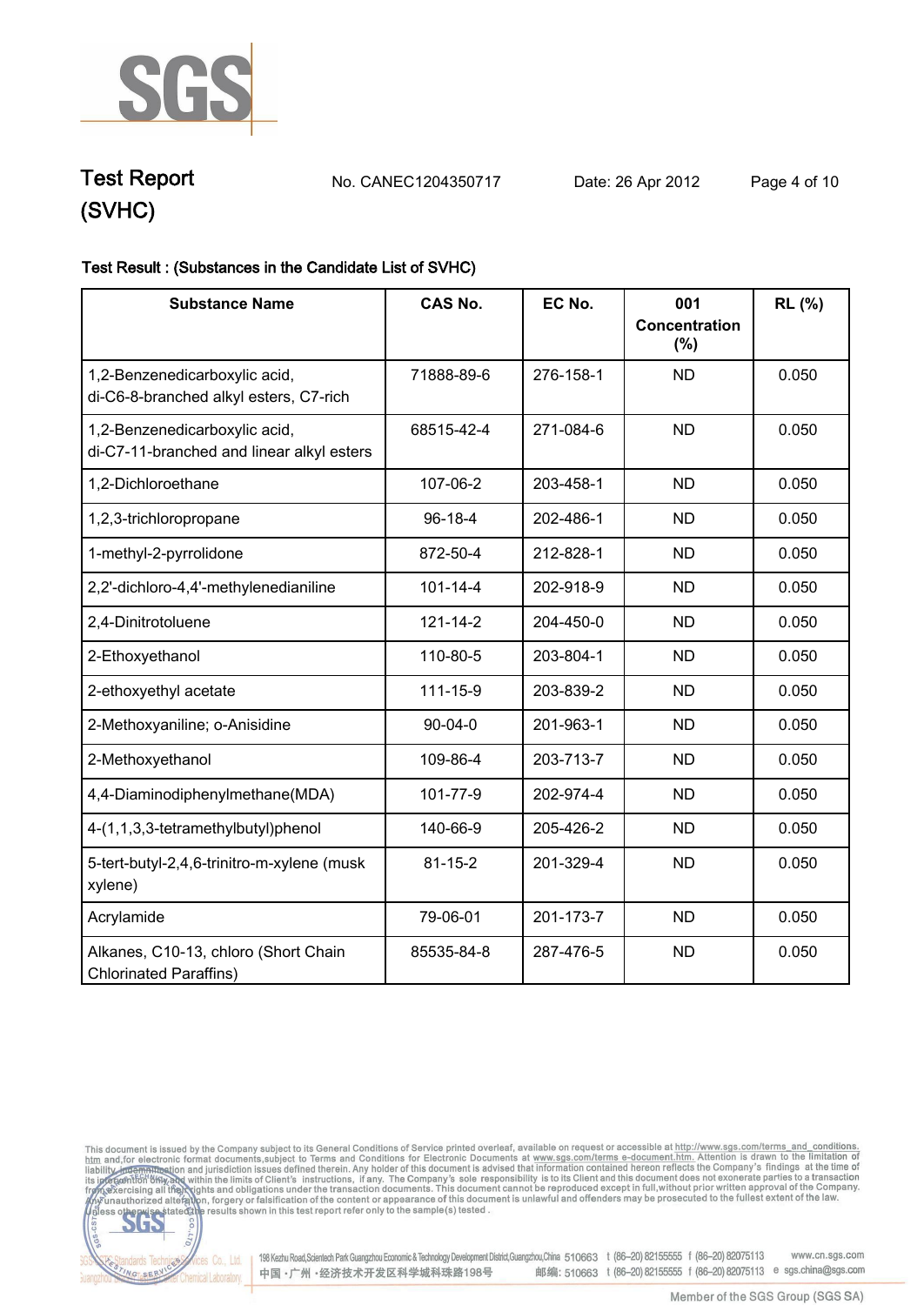

**Test Report. No. CANEC1204350717 Date: 26 Apr 2012. Page 4 of 10.**

## **Test Result : (Substances in the Candidate List of SVHC).**

| <b>Substance Name</b>                                                      | <b>CAS No.</b> | EC No.    | 001<br><b>Concentration</b><br>$(\%)$ | RL (%) |
|----------------------------------------------------------------------------|----------------|-----------|---------------------------------------|--------|
| 1,2-Benzenedicarboxylic acid,<br>di-C6-8-branched alkyl esters, C7-rich    | 71888-89-6     | 276-158-1 | <b>ND</b>                             | 0.050  |
| 1,2-Benzenedicarboxylic acid,<br>di-C7-11-branched and linear alkyl esters | 68515-42-4     | 271-084-6 | <b>ND</b>                             | 0.050  |
| 1,2-Dichloroethane                                                         | 107-06-2       | 203-458-1 | <b>ND</b>                             | 0.050  |
| 1,2,3-trichloropropane                                                     | $96 - 18 - 4$  | 202-486-1 | <b>ND</b>                             | 0.050  |
| 1-methyl-2-pyrrolidone                                                     | 872-50-4       | 212-828-1 | <b>ND</b>                             | 0.050  |
| 2,2'-dichloro-4,4'-methylenedianiline                                      | $101 - 14 - 4$ | 202-918-9 | <b>ND</b>                             | 0.050  |
| 2,4-Dinitrotoluene                                                         | $121 - 14 - 2$ | 204-450-0 | <b>ND</b>                             | 0.050  |
| 2-Ethoxyethanol                                                            | 110-80-5       | 203-804-1 | <b>ND</b>                             | 0.050  |
| 2-ethoxyethyl acetate                                                      | 111-15-9       | 203-839-2 | <b>ND</b>                             | 0.050  |
| 2-Methoxyaniline; o-Anisidine                                              | $90 - 04 - 0$  | 201-963-1 | <b>ND</b>                             | 0.050  |
| 2-Methoxyethanol                                                           | 109-86-4       | 203-713-7 | <b>ND</b>                             | 0.050  |
| 4,4-Diaminodiphenylmethane(MDA)                                            | 101-77-9       | 202-974-4 | <b>ND</b>                             | 0.050  |
| 4-(1,1,3,3-tetramethylbutyl)phenol                                         | 140-66-9       | 205-426-2 | <b>ND</b>                             | 0.050  |
| 5-tert-butyl-2,4,6-trinitro-m-xylene (musk<br>xylene)                      | $81 - 15 - 2$  | 201-329-4 | <b>ND</b>                             | 0.050  |
| Acrylamide                                                                 | 79-06-01       | 201-173-7 | <b>ND</b>                             | 0.050  |
| Alkanes, C10-13, chloro (Short Chain<br><b>Chlorinated Paraffins)</b>      | 85535-84-8     | 287-476-5 | <b>ND</b>                             | 0.050  |

This document is issued by the Company subject to its General Conditions of Service printed overleaf, available on request or accessible at http://www.sgs.com/terms\_and\_conditions.<br>htm\_and,for electronic format documents,



Electric Co., Ltd. 198 Kezhu Road, Scientech Park Guangzhou Economic & Technology Development District, Guangzhou, China 510663 t (86-20) 82155555 f (86-20) 82075113 www.cn.sgs.com 邮编: 510663 t (86-20) 82155555 f (86-20) 82075113 e sgs.china@sgs.com 中国·广州·经济技术开发区科学城科珠路198号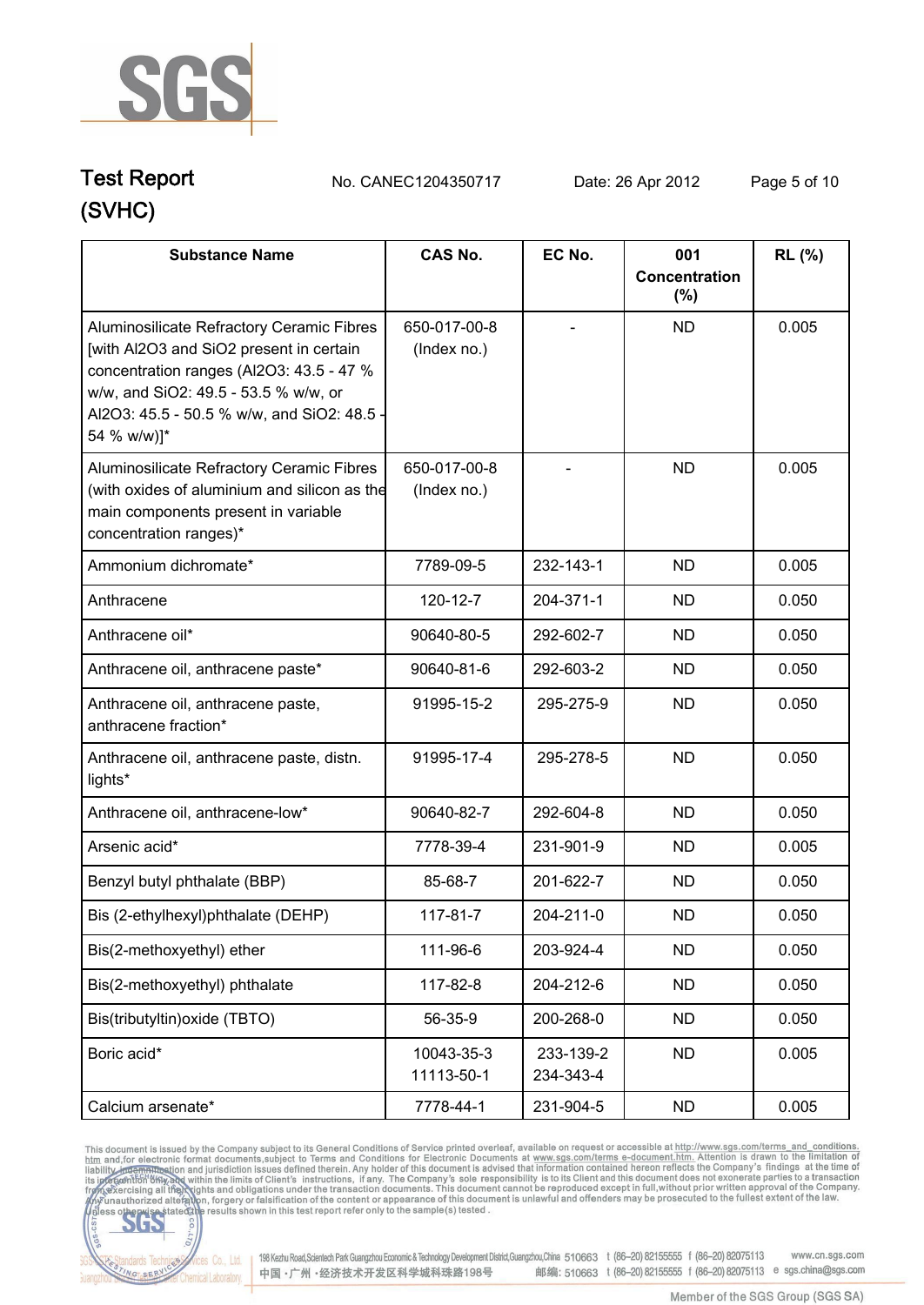

**Test Report. No. CANEC1204350717 Date: 26 Apr 2012. Page 5 of 10.**

| <b>Substance Name</b>                                                                                                                                                                                                                 | <b>CAS No.</b>              | EC No.                 | 001                     | <b>RL</b> (%) |
|---------------------------------------------------------------------------------------------------------------------------------------------------------------------------------------------------------------------------------------|-----------------------------|------------------------|-------------------------|---------------|
|                                                                                                                                                                                                                                       |                             |                        | Concentration<br>$(\%)$ |               |
| Aluminosilicate Refractory Ceramic Fibres<br>[with Al2O3 and SiO2 present in certain<br>concentration ranges (Al2O3: 43.5 - 47 %<br>w/w, and SiO2: 49.5 - 53.5 % w/w, or<br>Al2O3: 45.5 - 50.5 % w/w, and SiO2: 48.5 -<br>54 % w/w)]* | 650-017-00-8<br>(Index no.) |                        | <b>ND</b>               | 0.005         |
| Aluminosilicate Refractory Ceramic Fibres<br>(with oxides of aluminium and silicon as the<br>main components present in variable<br>concentration ranges)*                                                                            | 650-017-00-8<br>(Index no.) |                        | <b>ND</b>               | 0.005         |
| Ammonium dichromate*                                                                                                                                                                                                                  | 7789-09-5                   | 232-143-1              | <b>ND</b>               | 0.005         |
| Anthracene                                                                                                                                                                                                                            | 120-12-7                    | 204-371-1              | <b>ND</b>               | 0.050         |
| Anthracene oil*                                                                                                                                                                                                                       | 90640-80-5                  | 292-602-7              | <b>ND</b>               | 0.050         |
| Anthracene oil, anthracene paste*                                                                                                                                                                                                     | 90640-81-6                  | 292-603-2              | <b>ND</b>               | 0.050         |
| Anthracene oil, anthracene paste,<br>anthracene fraction*                                                                                                                                                                             | 91995-15-2                  | 295-275-9              | <b>ND</b>               | 0.050         |
| Anthracene oil, anthracene paste, distn.<br>lights*                                                                                                                                                                                   | 91995-17-4                  | 295-278-5              | <b>ND</b>               | 0.050         |
| Anthracene oil, anthracene-low*                                                                                                                                                                                                       | 90640-82-7                  | 292-604-8              | <b>ND</b>               | 0.050         |
| Arsenic acid*                                                                                                                                                                                                                         | 7778-39-4                   | 231-901-9              | <b>ND</b>               | 0.005         |
| Benzyl butyl phthalate (BBP)                                                                                                                                                                                                          | 85-68-7                     | 201-622-7              | <b>ND</b>               | 0.050         |
| Bis (2-ethylhexyl)phthalate (DEHP)                                                                                                                                                                                                    | $117 - 81 - 7$              | 204-211-0              | <b>ND</b>               | 0.050         |
| Bis(2-methoxyethyl) ether                                                                                                                                                                                                             | 111-96-6                    | 203-924-4              | <b>ND</b>               | 0.050         |
| Bis(2-methoxyethyl) phthalate                                                                                                                                                                                                         | 117-82-8                    | 204-212-6              | <b>ND</b>               | 0.050         |
| Bis(tributyltin) oxide (TBTO)                                                                                                                                                                                                         | 56-35-9                     | 200-268-0              | <b>ND</b>               | 0.050         |
| Boric acid*                                                                                                                                                                                                                           | 10043-35-3<br>11113-50-1    | 233-139-2<br>234-343-4 | <b>ND</b>               | 0.005         |
| Calcium arsenate*                                                                                                                                                                                                                     | 7778-44-1                   | 231-904-5              | <b>ND</b>               | 0.005         |

This document is issued by the Company subject to its General Conditions of Service printed overleaf, available on request or accessible at http://www.sgs.com/terms. and\_conditions.<br>htm and, for electronic format document



Vices Co., Ltd. | 198 Kezhu Road,Scientech Park Guangzhou Economic & Technology Development District,Guangzhou,China 510663 t (86-20) 82155555 f (86-20) 82075113 www.cn.sgs.com 邮编: 510663 t (86-20) 82155555 f (86-20) 82075113 e sgs.china@sgs.com 中国·广州·经济技术开发区科学城科珠路198号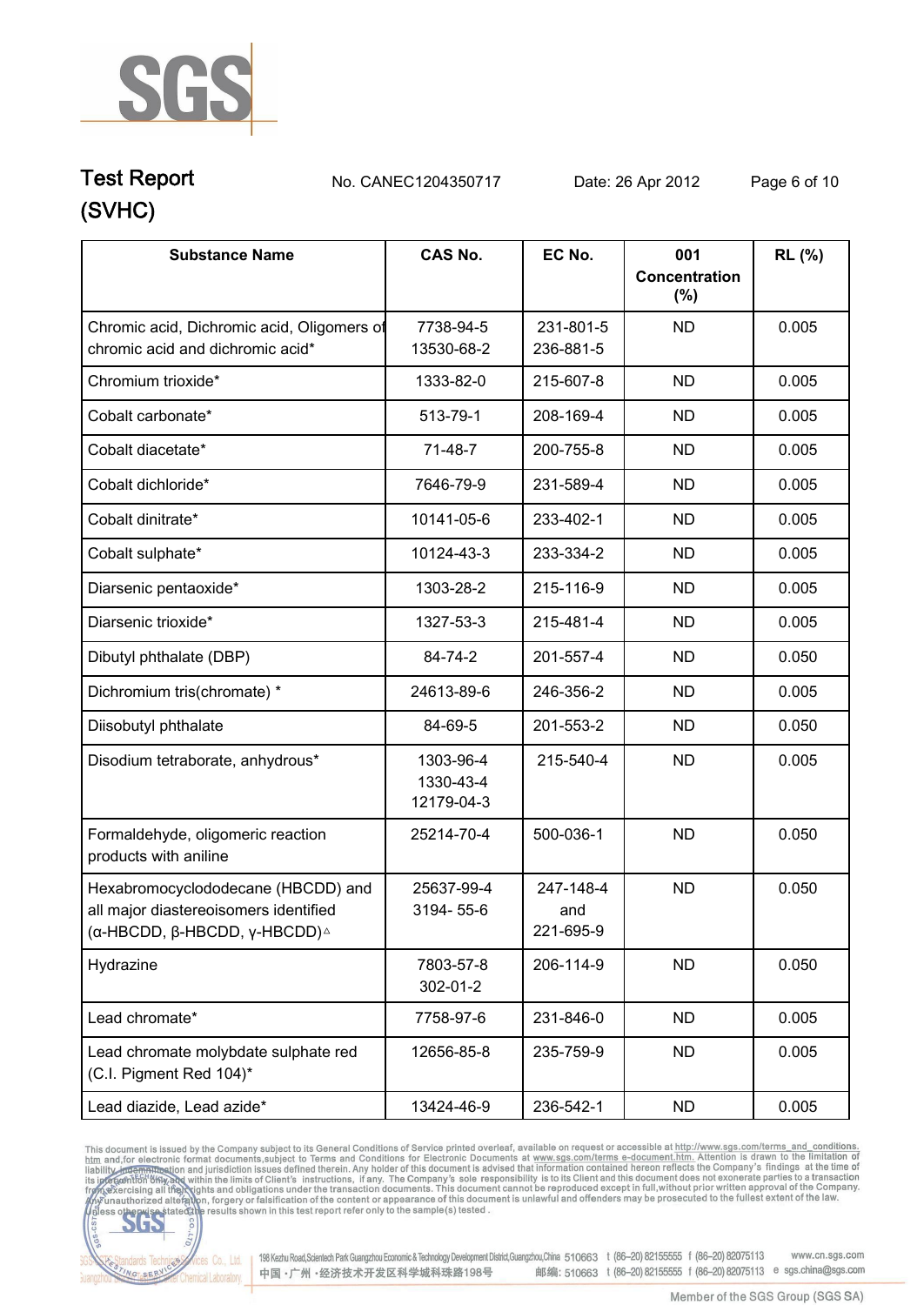

**Test Report. No. CANEC1204350717 Date: 26 Apr 2012. Page 6 of 10.**

| <b>Substance Name</b>                                                                                                        | <b>CAS No.</b>                       | EC No.                        | 001<br>Concentration<br>(%) | RL (%) |
|------------------------------------------------------------------------------------------------------------------------------|--------------------------------------|-------------------------------|-----------------------------|--------|
| Chromic acid, Dichromic acid, Oligomers of<br>chromic acid and dichromic acid*                                               | 7738-94-5<br>13530-68-2              | 231-801-5<br>236-881-5        | <b>ND</b>                   | 0.005  |
| Chromium trioxide*                                                                                                           | 1333-82-0                            | 215-607-8                     | <b>ND</b>                   | 0.005  |
| Cobalt carbonate*                                                                                                            | 513-79-1                             | 208-169-4                     | <b>ND</b>                   | 0.005  |
| Cobalt diacetate*                                                                                                            | $71-48-7$                            | 200-755-8                     | <b>ND</b>                   | 0.005  |
| Cobalt dichloride*                                                                                                           | 7646-79-9                            | 231-589-4                     | <b>ND</b>                   | 0.005  |
| Cobalt dinitrate*                                                                                                            | 10141-05-6                           | 233-402-1                     | <b>ND</b>                   | 0.005  |
| Cobalt sulphate*                                                                                                             | 10124-43-3                           | 233-334-2                     | <b>ND</b>                   | 0.005  |
| Diarsenic pentaoxide*                                                                                                        | 1303-28-2                            | 215-116-9                     | <b>ND</b>                   | 0.005  |
| Diarsenic trioxide*                                                                                                          | 1327-53-3                            | 215-481-4                     | <b>ND</b>                   | 0.005  |
| Dibutyl phthalate (DBP)                                                                                                      | 84-74-2                              | 201-557-4                     | <b>ND</b>                   | 0.050  |
| Dichromium tris(chromate) *                                                                                                  | 24613-89-6                           | 246-356-2                     | <b>ND</b>                   | 0.005  |
| Diisobutyl phthalate                                                                                                         | 84-69-5                              | 201-553-2                     | <b>ND</b>                   | 0.050  |
| Disodium tetraborate, anhydrous*                                                                                             | 1303-96-4<br>1330-43-4<br>12179-04-3 | 215-540-4                     | <b>ND</b>                   | 0.005  |
| Formaldehyde, oligomeric reaction<br>products with aniline                                                                   | 25214-70-4                           | 500-036-1                     | <b>ND</b>                   | 0.050  |
| Hexabromocyclododecane (HBCDD) and<br>all major diastereoisomers identified<br>(α-HBCDD, β-HBCDD, γ-HBCDD) $^{\vartriangle}$ | 25637-99-4<br>3194-55-6              | 247-148-4<br>and<br>221-695-9 | <b>ND</b>                   | 0.050  |
| Hydrazine                                                                                                                    | 7803-57-8<br>302-01-2                | 206-114-9                     | <b>ND</b>                   | 0.050  |
| Lead chromate*                                                                                                               | 7758-97-6                            | 231-846-0                     | <b>ND</b>                   | 0.005  |
| Lead chromate molybdate sulphate red<br>(C.I. Pigment Red 104)*                                                              | 12656-85-8                           | 235-759-9                     | <b>ND</b>                   | 0.005  |
| Lead diazide, Lead azide*                                                                                                    | 13424-46-9                           | 236-542-1                     | <b>ND</b>                   | 0.005  |

This document is issued by the Company subject to its General Conditions of Service printed overleaf, available on request or accessible at http://www.sgs.com/terms. and\_conditions.<br>htm and, for electronic format document



198 Kezhu Road, Scientech Park Guangzhou Economic & Technology Development District, Guangzhou, China 510663 t (86-20) 82155555 f (86-20) 82075113 www.cn.sgs.com 邮编: 510663 t (86-20) 82155555 f (86-20) 82075113 e sgs.china@sgs.com 中国·广州·经济技术开发区科学城科珠路198号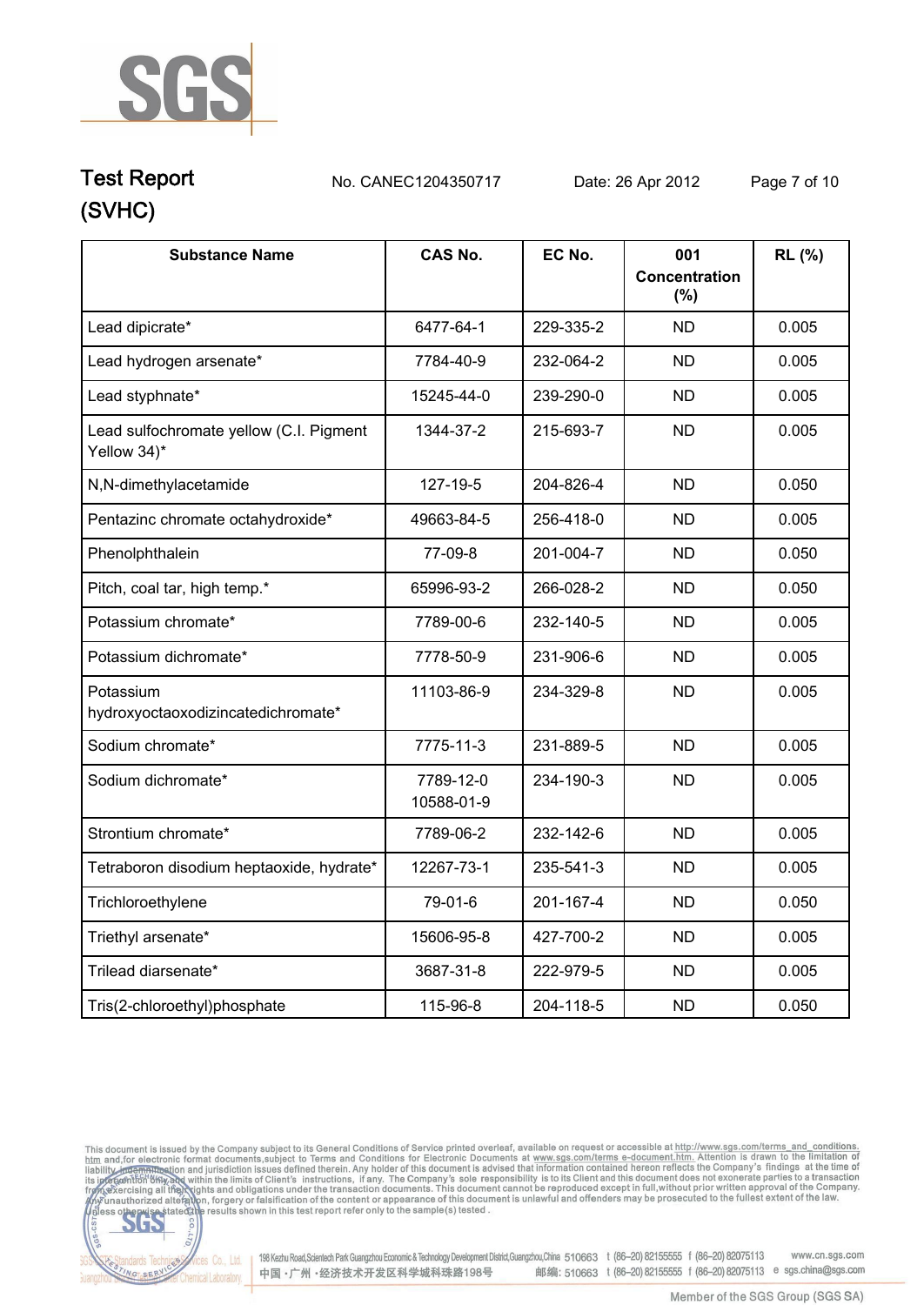

### **(SVHC) Test Report. No. CANEC1204350717 Date: 26 Apr 2012. Page 7 of 10.**

| <b>Substance Name</b>                                  | <b>CAS No.</b>          | EC No.    | 001<br>Concentration<br>(%) | RL (%) |
|--------------------------------------------------------|-------------------------|-----------|-----------------------------|--------|
| Lead dipicrate*                                        | 6477-64-1               | 229-335-2 | <b>ND</b>                   | 0.005  |
| Lead hydrogen arsenate*                                | 7784-40-9               | 232-064-2 | <b>ND</b>                   | 0.005  |
| Lead styphnate*                                        | 15245-44-0              | 239-290-0 | <b>ND</b>                   | 0.005  |
| Lead sulfochromate yellow (C.I. Pigment<br>Yellow 34)* | 1344-37-2               | 215-693-7 | <b>ND</b>                   | 0.005  |
| N,N-dimethylacetamide                                  | 127-19-5                | 204-826-4 | <b>ND</b>                   | 0.050  |
| Pentazinc chromate octahydroxide*                      | 49663-84-5              | 256-418-0 | <b>ND</b>                   | 0.005  |
| Phenolphthalein                                        | 77-09-8                 | 201-004-7 | <b>ND</b>                   | 0.050  |
| Pitch, coal tar, high temp.*                           | 65996-93-2              | 266-028-2 | <b>ND</b>                   | 0.050  |
| Potassium chromate*                                    | 7789-00-6               | 232-140-5 | <b>ND</b>                   | 0.005  |
| Potassium dichromate*                                  | 7778-50-9               | 231-906-6 | <b>ND</b>                   | 0.005  |
| Potassium<br>hydroxyoctaoxodizincatedichromate*        | 11103-86-9              | 234-329-8 | <b>ND</b>                   | 0.005  |
| Sodium chromate*                                       | 7775-11-3               | 231-889-5 | <b>ND</b>                   | 0.005  |
| Sodium dichromate*                                     | 7789-12-0<br>10588-01-9 | 234-190-3 | <b>ND</b>                   | 0.005  |
| Strontium chromate*                                    | 7789-06-2               | 232-142-6 | <b>ND</b>                   | 0.005  |
| Tetraboron disodium heptaoxide, hydrate*               | 12267-73-1              | 235-541-3 | <b>ND</b>                   | 0.005  |
| Trichloroethylene                                      | 79-01-6                 | 201-167-4 | <b>ND</b>                   | 0.050  |
| Triethyl arsenate*                                     | 15606-95-8              | 427-700-2 | <b>ND</b>                   | 0.005  |
| Trilead diarsenate*                                    | 3687-31-8               | 222-979-5 | <b>ND</b>                   | 0.005  |
| Tris(2-chloroethyl)phosphate                           | 115-96-8                | 204-118-5 | <b>ND</b>                   | 0.050  |

This document is issued by the Company subject to its General Conditions of Service printed overleaf, available on request or accessible at http://www.sgs.com/terms\_and\_conditions.<br>htm\_and,for electronic format documents,



onces Co., Ltd. | 198 Kezhu Road, Scientech Park Guangzhou Economic & Technology Development District, Guangzhou, China 510663 t (86-20) 82155555 f (86-20) 82075113 www.cn.sgs.com 邮编: 510663 t (86-20) 82155555 f (86-20) 82075113 e sgs.china@sgs.com 中国·广州·经济技术开发区科学城科珠路198号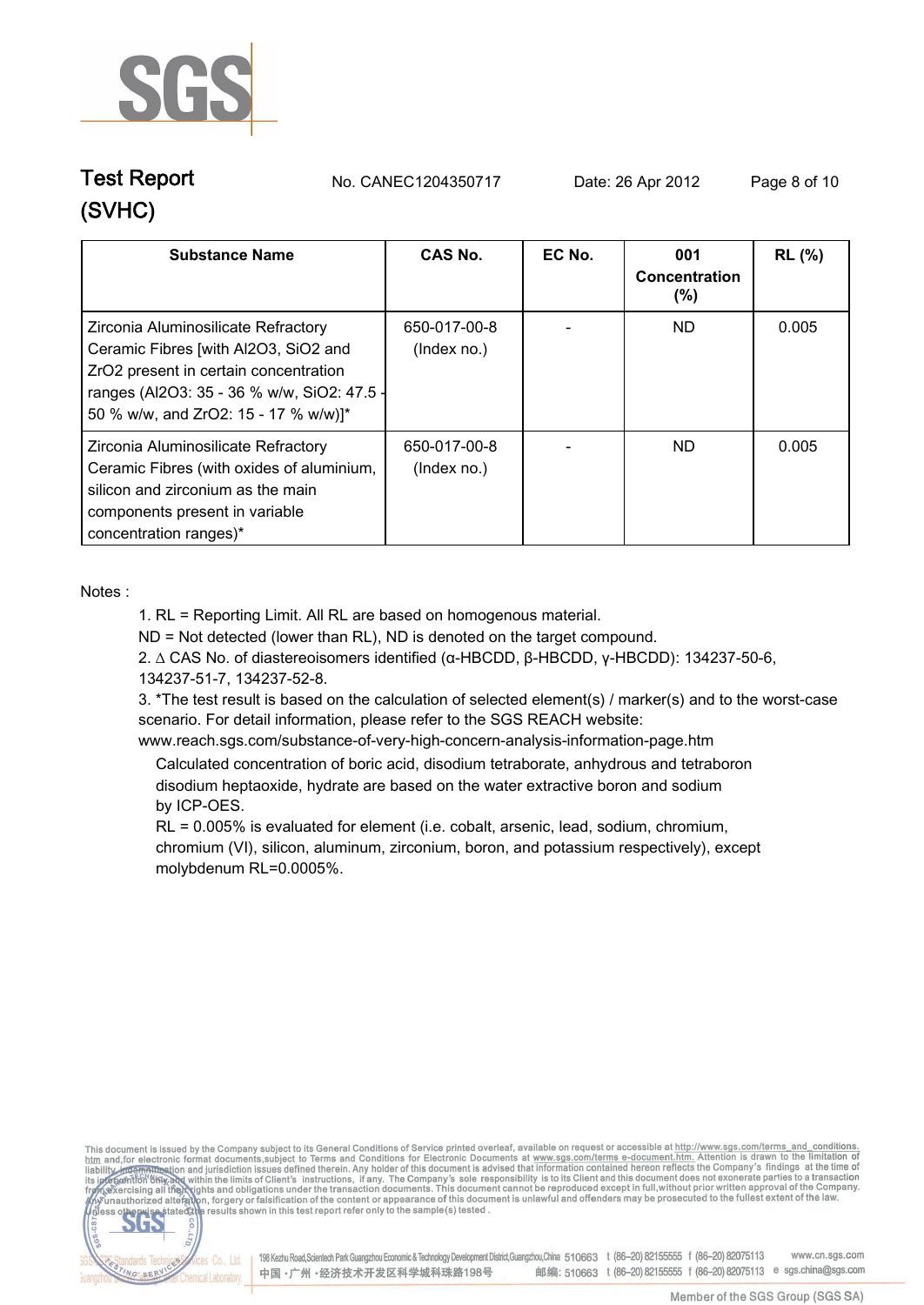

**Test Report. No. CANEC1204350717 Date: 26 Apr 2012. Page 8 of 10.**

| <b>Substance Name</b>                                                                                                                                                                                      | CAS No.                     | EC No. | 001<br>Concentration<br>$(\% )$ | <b>RL</b> (%) |
|------------------------------------------------------------------------------------------------------------------------------------------------------------------------------------------------------------|-----------------------------|--------|---------------------------------|---------------|
| Zirconia Aluminosilicate Refractory<br>Ceramic Fibres [with Al2O3, SiO2 and<br>ZrO2 present in certain concentration<br>ranges (Al2O3: 35 - 36 % w/w, SiO2: 47.5 -<br>50 % w/w, and ZrO2: 15 - 17 % w/w)]* | 650-017-00-8<br>(Index no.) |        | ND.                             | 0.005         |
| Zirconia Aluminosilicate Refractory<br>Ceramic Fibres (with oxides of aluminium,<br>silicon and zirconium as the main<br>components present in variable<br>concentration ranges)*                          | 650-017-00-8<br>(Index no.) |        | ND.                             | 0.005         |

**Notes :.**

**NG SER** 

**1. RL = Reporting Limit. All RL are based on homogenous material.**

**ND = Not detected (lower than RL), ND is denoted on the target compound.**

**2. ∆ CAS No. of diastereoisomers identified (α-HBCDD, β-HBCDD, γ-HBCDD): 134237-50-6, 134237-51-7, 134237-52-8.**

**3. \*The test result is based on the calculation of selected element(s) / marker(s) and to the worst-case scenario. For detail information, please refer to the SGS REACH website:** 

**www.reach.sgs.com/substance-of-very-high-concern-analysis-information-page.htm.**

 **Calculated concentration of boric acid, disodium tetraborate, anhydrous and tetraboron disodium heptaoxide, hydrate are based on the water extractive boron and sodium by ICP-OES.**

 **RL = 0.005% is evaluated for element (i.e. cobalt, arsenic, lead, sodium, chromium, chromium (VI), silicon, aluminum, zirconium, boron, and potassium respectively), except molybdenum RL=0.0005%..**

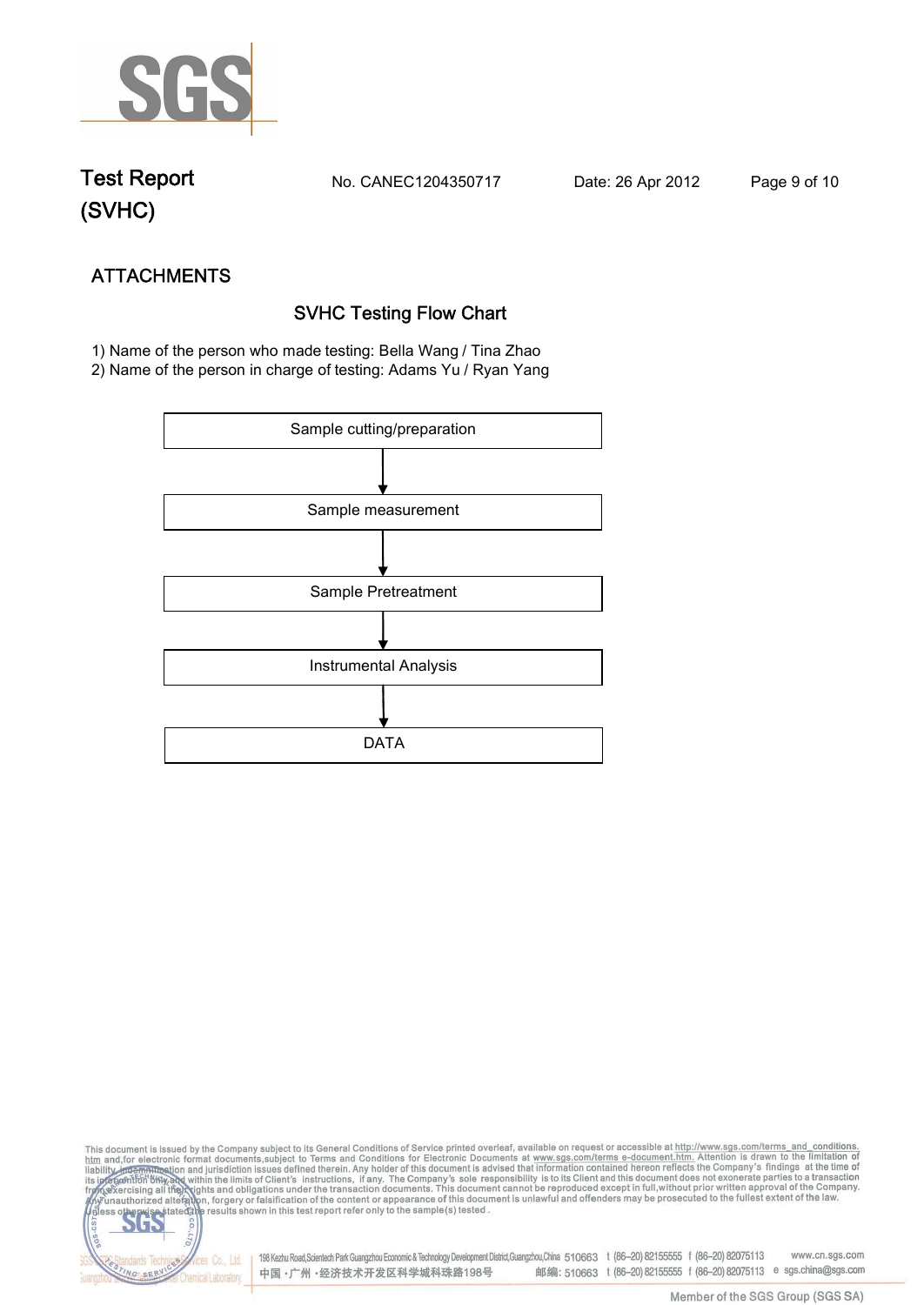

**Test Report. No. CANEC1204350717 Date: 26 Apr 2012. Page 9 of 10.**

NG SER

**Chemical Laboratory** 

**ATTACHMENTS SVHC Testing Flow Chart 1)** Name of the person who made testing: **Bella Wang / Tina Zhao**

**2)** Name of the person in charge of testing: **Adams Yu / Ryan Yang**



This document is issued by the Company subject to its General Conditions of Service printed overleaf, available on request or accessible at http://www.sgs.com/terms\_and\_conditions.<br>htm\_and,for electronic format documents,s S **202** 198 Kezhu Road,Scientech Park Guangzhou Economic & Technology Development District,Guangzhou,China 510663 t (86-20) 82155555 f (86-20) 82075113 www.cn.sgs.com dards Ter fices Co., Ltd.

中国·广州·经济技术开发区科学城科珠路198号

Member of the SGS Group (SGS SA)

邮编: 510663 t (86-20) 82155555 f (86-20) 82075113 e sgs.china@sgs.com